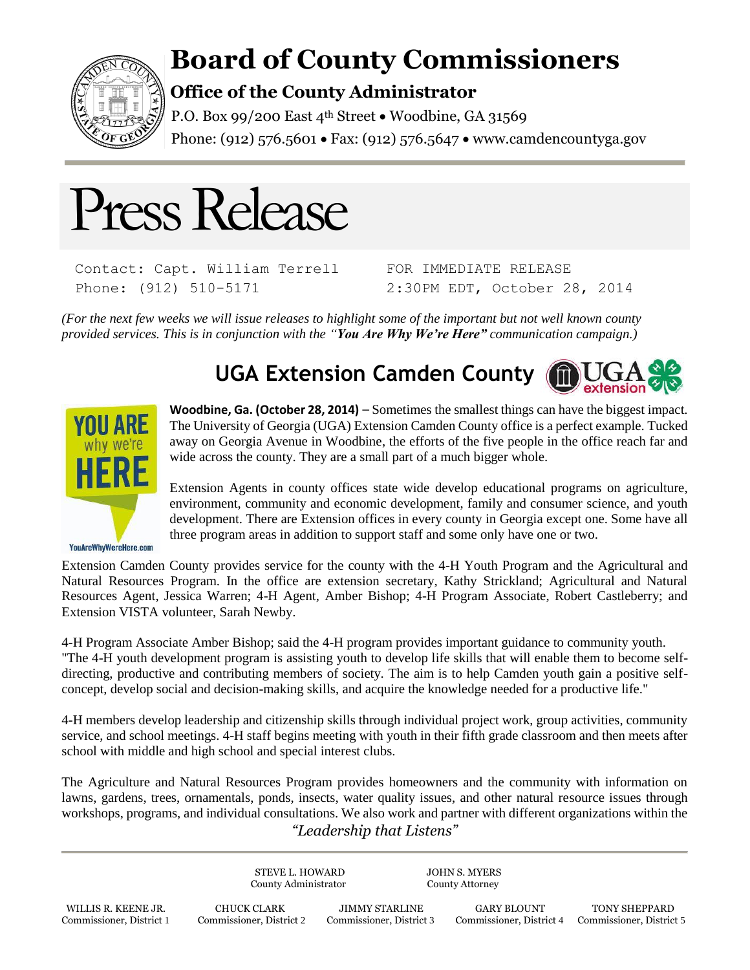

## **Board of County Commissioners**

## **Office of the County Administrator**

P.O. Box 99/200 East 4<sup>th</sup> Street . Woodbine, GA 31569 Phone: (912) 576.5601 • Fax: (912) 576.5647 • www.camdencountyga.gov



Contact: Capt. William Terrell Phone: (912) 510-5171

FOR IMMEDIATE RELEASE 2:30PM EDT, October 28, 2014

*(For the next few weeks we will issue releases to highlight some of the important but not well known county provided services. This is in conjunction with the "You Are Why We're Here" communication campaign.)*





**Woodbine, Ga. (October 28, 2014)** – Sometimes the smallest things can have the biggest impact. The University of Georgia (UGA) Extension Camden County office is a perfect example. Tucked away on Georgia Avenue in Woodbine, the efforts of the five people in the office reach far and wide across the county. They are a small part of a much bigger whole.

Extension Agents in county offices state wide develop educational programs on agriculture, environment, community and economic development, family and consumer science, and youth development. There are Extension offices in every county in Georgia except one. Some have all three program areas in addition to support staff and some only have one or two.

YouAreWhyWereHere.com

Extension Camden County provides service for the county with the 4-H Youth Program and the Agricultural and Natural Resources Program. In the office are extension secretary, Kathy Strickland; Agricultural and Natural Resources Agent, Jessica Warren; 4-H Agent, Amber Bishop; 4-H Program Associate, Robert Castleberry; and Extension VISTA volunteer, Sarah Newby.

4-H Program Associate Amber Bishop; said the 4-H program provides important guidance to community youth. "The 4-H youth development program is assisting youth to develop life skills that will enable them to become selfdirecting, productive and contributing members of society. The aim is to help Camden youth gain a positive selfconcept, develop social and decision-making skills, and acquire the knowledge needed for a productive life."

4-H members develop leadership and citizenship skills through individual project work, group activities, community service, and school meetings. 4-H staff begins meeting with youth in their fifth grade classroom and then meets after school with middle and high school and special interest clubs.

*"Leadership that Listens"* The Agriculture and Natural Resources Program provides homeowners and the community with information on lawns, gardens, trees, ornamentals, ponds, insects, water quality issues, and other natural resource issues through workshops, programs, and individual consultations. We also work and partner with different organizations within the

STEVE L. HOWARD JOHN S. MYERS County Administrator County Attorney